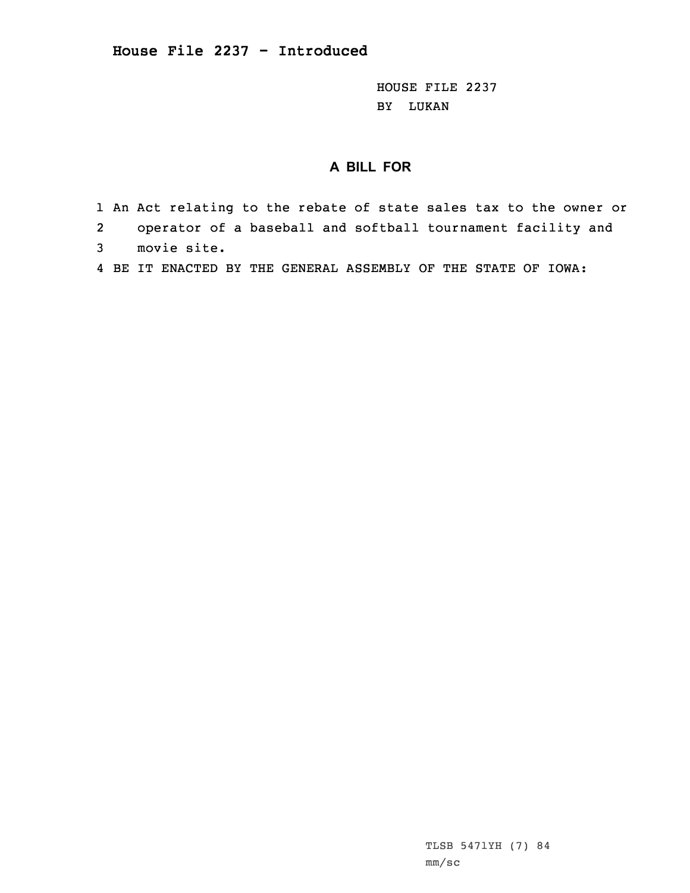HOUSE FILE 2237 BY LUKAN

## **A BILL FOR**

- 1 An Act relating to the rebate of state sales tax to the owner or
- 2operator of <sup>a</sup> baseball and softball tournament facility and
- 3 movie site.
- 4 BE IT ENACTED BY THE GENERAL ASSEMBLY OF THE STATE OF IOWA: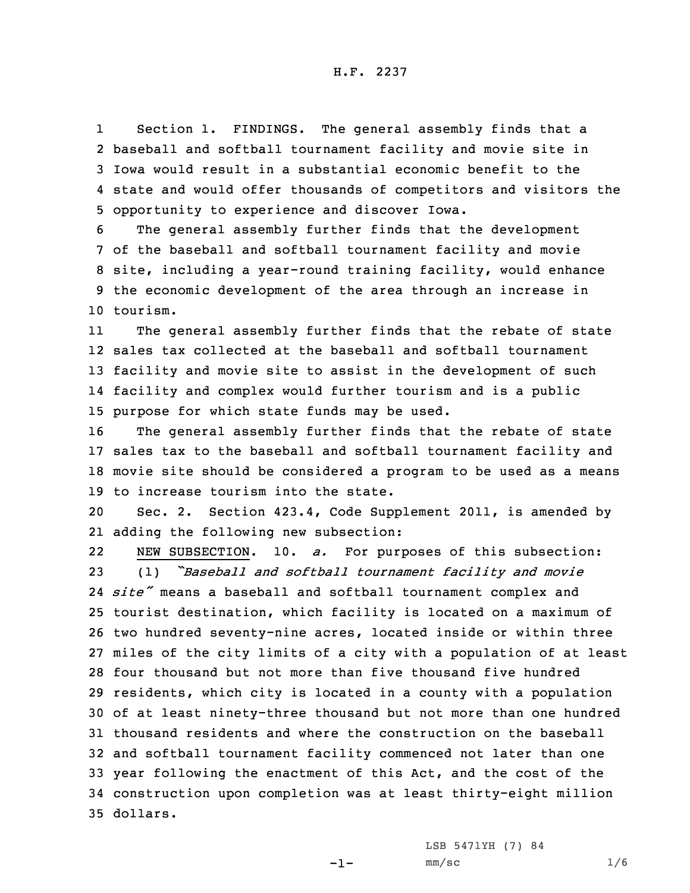1 Section 1. FINDINGS. The general assembly finds that <sup>a</sup> baseball and softball tournament facility and movie site in Iowa would result in <sup>a</sup> substantial economic benefit to the state and would offer thousands of competitors and visitors the opportunity to experience and discover Iowa.

 The general assembly further finds that the development of the baseball and softball tournament facility and movie site, including <sup>a</sup> year-round training facility, would enhance the economic development of the area through an increase in 10 tourism.

11 The general assembly further finds that the rebate of state sales tax collected at the baseball and softball tournament facility and movie site to assist in the development of such facility and complex would further tourism and is <sup>a</sup> public purpose for which state funds may be used.

 The general assembly further finds that the rebate of state sales tax to the baseball and softball tournament facility and movie site should be considered <sup>a</sup> program to be used as <sup>a</sup> means to increase tourism into the state.

20 Sec. 2. Section 423.4, Code Supplement 2011, is amended by 21 adding the following new subsection:

22 NEW SUBSECTION. 10. *a.* For purposes of this subsection: (1) *"Baseball and softball tournament facility and movie site"* means <sup>a</sup> baseball and softball tournament complex and tourist destination, which facility is located on <sup>a</sup> maximum of two hundred seventy-nine acres, located inside or within three miles of the city limits of <sup>a</sup> city with <sup>a</sup> population of at least four thousand but not more than five thousand five hundred residents, which city is located in <sup>a</sup> county with <sup>a</sup> population of at least ninety-three thousand but not more than one hundred thousand residents and where the construction on the baseball and softball tournament facility commenced not later than one year following the enactment of this Act, and the cost of the construction upon completion was at least thirty-eight million 35 dollars.

LSB 5471YH (7) 84

-1-

 $mm/sc$  1/6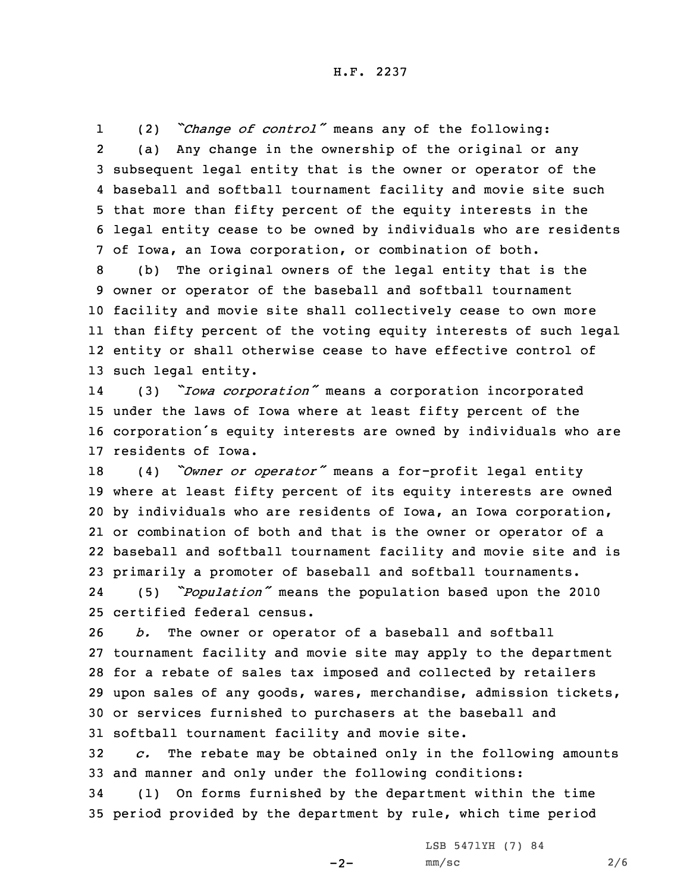1 (2) *"Change of control"* means any of the following: 2 (a) Any change in the ownership of the original or any 3 subsequent legal entity that is the owner or operator of the 4 baseball and softball tournament facility and movie site such 5 that more than fifty percent of the equity interests in the 6 legal entity cease to be owned by individuals who are residents 7 of Iowa, an Iowa corporation, or combination of both.

 (b) The original owners of the legal entity that is the owner or operator of the baseball and softball tournament facility and movie site shall collectively cease to own more than fifty percent of the voting equity interests of such legal entity or shall otherwise cease to have effective control of such legal entity.

14 (3) *"Iowa corporation"* means <sup>a</sup> corporation incorporated 15 under the laws of Iowa where at least fifty percent of the <sup>16</sup> corporation's equity interests are owned by individuals who are 17 residents of Iowa.

 (4) *"Owner or operator"* means <sup>a</sup> for-profit legal entity where at least fifty percent of its equity interests are owned by individuals who are residents of Iowa, an Iowa corporation, or combination of both and that is the owner or operator of <sup>a</sup> baseball and softball tournament facility and movie site and is primarily <sup>a</sup> promoter of baseball and softball tournaments. 24 (5) *"Population"* means the population based upon the <sup>2010</sup> certified federal census.

 *b.* The owner or operator of <sup>a</sup> baseball and softball tournament facility and movie site may apply to the department for <sup>a</sup> rebate of sales tax imposed and collected by retailers upon sales of any goods, wares, merchandise, admission tickets, or services furnished to purchasers at the baseball and softball tournament facility and movie site.

32 *c.* The rebate may be obtained only in the following amounts 33 and manner and only under the following conditions:

34 (1) On forms furnished by the department within the time 35 period provided by the department by rule, which time period

LSB 5471YH (7) 84

 $-2-$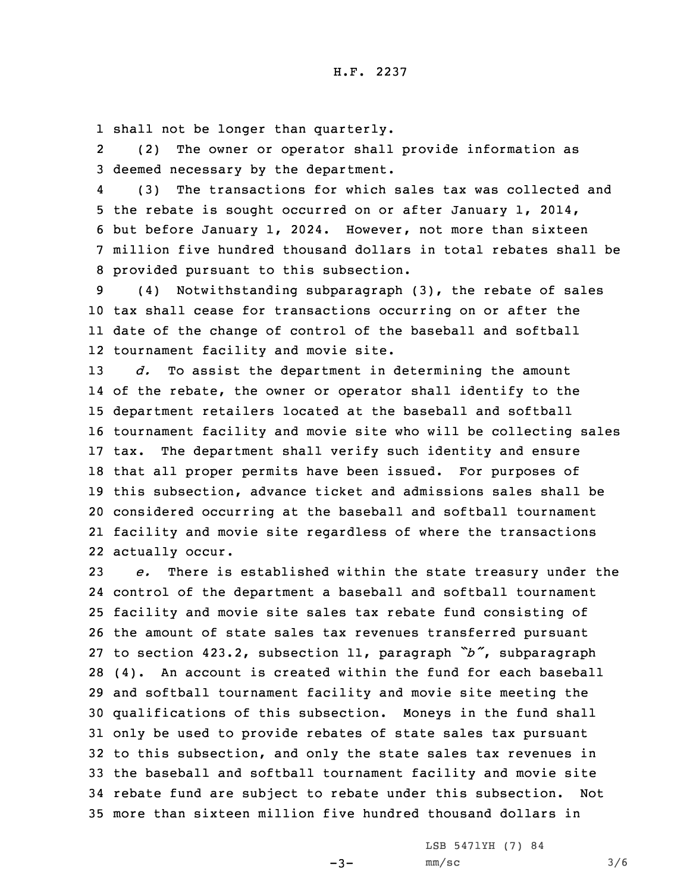1 shall not be longer than quarterly.

2 (2) The owner or operator shall provide information as 3 deemed necessary by the department.

4 (3) The transactions for which sales tax was collected and the rebate is sought occurred on or after January 1, 2014, but before January 1, 2024. However, not more than sixteen million five hundred thousand dollars in total rebates shall be provided pursuant to this subsection.

 (4) Notwithstanding subparagraph (3), the rebate of sales tax shall cease for transactions occurring on or after the date of the change of control of the baseball and softball tournament facility and movie site.

 *d.* To assist the department in determining the amount of the rebate, the owner or operator shall identify to the department retailers located at the baseball and softball tournament facility and movie site who will be collecting sales tax. The department shall verify such identity and ensure that all proper permits have been issued. For purposes of this subsection, advance ticket and admissions sales shall be considered occurring at the baseball and softball tournament facility and movie site regardless of where the transactions actually occur.

 *e.* There is established within the state treasury under the control of the department <sup>a</sup> baseball and softball tournament facility and movie site sales tax rebate fund consisting of the amount of state sales tax revenues transferred pursuant to section 423.2, subsection 11, paragraph *"b"*, subparagraph (4). An account is created within the fund for each baseball and softball tournament facility and movie site meeting the qualifications of this subsection. Moneys in the fund shall only be used to provide rebates of state sales tax pursuant to this subsection, and only the state sales tax revenues in the baseball and softball tournament facility and movie site rebate fund are subject to rebate under this subsection. Not more than sixteen million five hundred thousand dollars in

 $-3-$ 

LSB 5471YH (7) 84  $mm/sc$  3/6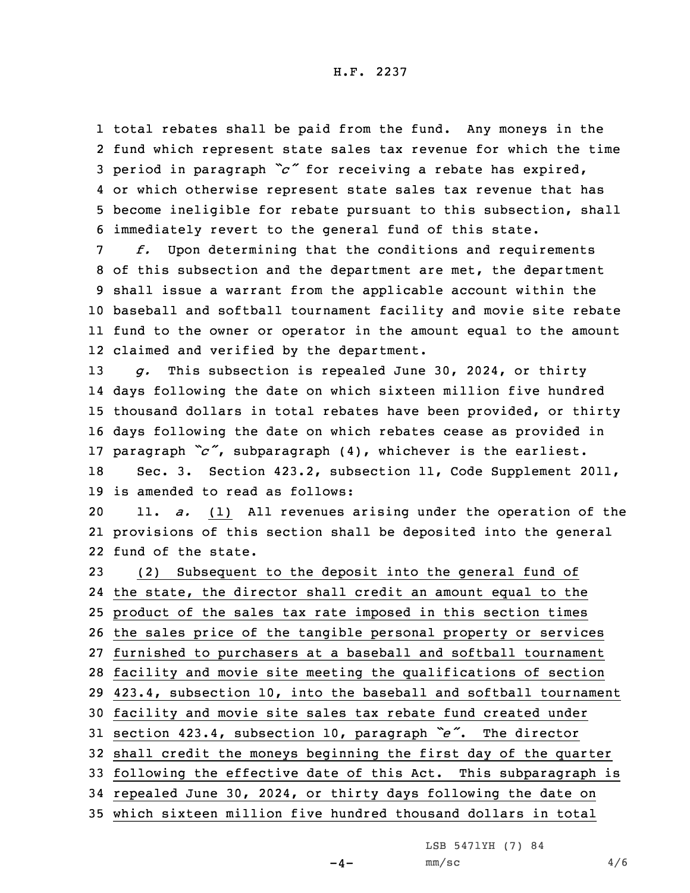total rebates shall be paid from the fund. Any moneys in the fund which represent state sales tax revenue for which the time period in paragraph *"c"* for receiving <sup>a</sup> rebate has expired, or which otherwise represent state sales tax revenue that has become ineligible for rebate pursuant to this subsection, shall immediately revert to the general fund of this state.

 *f.* Upon determining that the conditions and requirements of this subsection and the department are met, the department shall issue <sup>a</sup> warrant from the applicable account within the baseball and softball tournament facility and movie site rebate fund to the owner or operator in the amount equal to the amount claimed and verified by the department.

 *g.* This subsection is repealed June 30, 2024, or thirty days following the date on which sixteen million five hundred thousand dollars in total rebates have been provided, or thirty days following the date on which rebates cease as provided in paragraph *"c"*, subparagraph (4), whichever is the earliest. Sec. 3. Section 423.2, subsection 11, Code Supplement 2011, is amended to read as follows:

20 11. *a.* (1) All revenues arising under the operation of the 21 provisions of this section shall be deposited into the general 22 fund of the state.

 (2) Subsequent to the deposit into the general fund of the state, the director shall credit an amount equal to the product of the sales tax rate imposed in this section times the sales price of the tangible personal property or services furnished to purchasers at <sup>a</sup> baseball and softball tournament facility and movie site meeting the qualifications of section 423.4, subsection 10, into the baseball and softball tournament facility and movie site sales tax rebate fund created under section 423.4, subsection 10, paragraph *"e"*. The director shall credit the moneys beginning the first day of the quarter following the effective date of this Act. This subparagraph is repealed June 30, 2024, or thirty days following the date on which sixteen million five hundred thousand dollars in total

LSB 5471YH (7) 84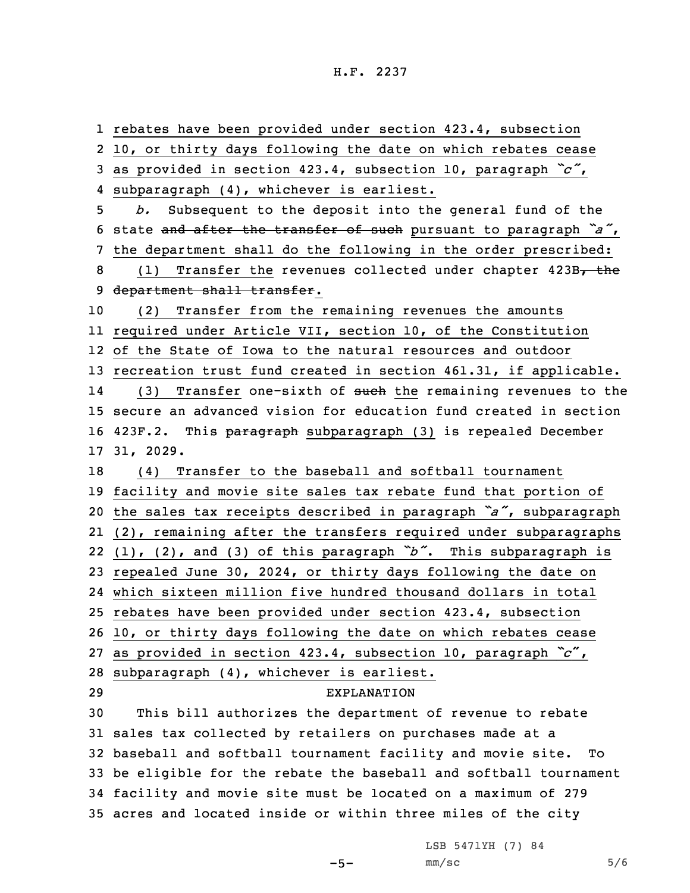rebates have been provided under section 423.4, subsection 10, or thirty days following the date on which rebates cease as provided in section 423.4, subsection 10, paragraph *"c"*, subparagraph (4), whichever is earliest. *b.* Subsequent to the deposit into the general fund of the state and after the transfer of such pursuant to paragraph *"a"*, the department shall do the following in the order prescribed: 8 (1) Transfer the revenues collected under chapter 423B, the 9 department shall transfer. (2) Transfer from the remaining revenues the amounts required under Article VII, section 10, of the Constitution of the State of Iowa to the natural resources and outdoor recreation trust fund created in section 461.31, if applicable. 14(3) Transfer one-sixth of such the remaining revenues to the secure an advanced vision for education fund created in section 16 423F.2. This paragraph subparagraph (3) is repealed December 31, 2029. (4) Transfer to the baseball and softball tournament facility and movie site sales tax rebate fund that portion of the sales tax receipts described in paragraph *"a"*, subparagraph (2), remaining after the transfers required under subparagraphs (1), (2), and (3) of this paragraph *"b"*. This subparagraph is repealed June 30, 2024, or thirty days following the date on which sixteen million five hundred thousand dollars in total rebates have been provided under section 423.4, subsection 10, or thirty days following the date on which rebates cease as provided in section 423.4, subsection 10, paragraph *"c*", subparagraph (4), whichever is earliest. EXPLANATION This bill authorizes the department of revenue to rebate sales tax collected by retailers on purchases made at <sup>a</sup> baseball and softball tournament facility and movie site. To be eligible for the rebate the baseball and softball tournament facility and movie site must be located on <sup>a</sup> maximum of 279 acres and located inside or within three miles of the city

LSB 5471YH (7) 84

```
-5-
```